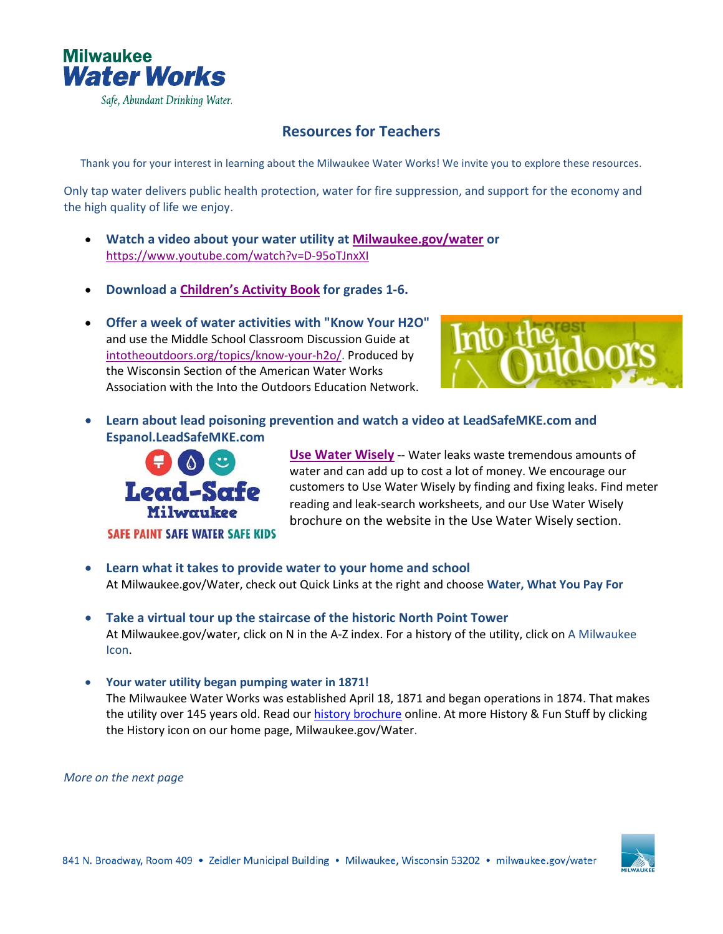

## **Resources for Teachers**

Thank you for your interest in learning about the Milwaukee Water Works! We invite you to explore these resources.

Only tap water delivers public health protection, water for fire suppression, and support for the economy and the high quality of life we enjoy.

- **Watch a video about your water utility a[t Milwaukee.gov/water](https://www.youtube.com/watch?v=D-95oTJnxXI) or** <https://www.youtube.com/watch?v=D-95oTJnxXI>
- **Download a [Children's Activity Book](https://city.milwaukee.gov/ImageLibrary/Groups/WaterWorks/files/KidsWaterActivityBook.pdf) for grades 1-6.**
- **Offer a week of water activities with "Know Your H2O"** and use the Middle School Classroom Discussion Guide at [intotheoutdoors.org/topics/know-your-h2o/.](http://intotheoutdoors.org/topics/know-your-h2o/) Produced by the Wisconsin Section of the American Water Works Association with the Into the Outdoors Education Network.



• **Learn about lead poisoning prevention and watch a video at LeadSafeMKE.com and Espanol.LeadSafeMKE.com**



**[Use Water Wisely](http://city.milwaukee.gov/water/usewaterwisely)** -- Water leaks waste tremendous amounts of water and can add up to cost a lot of money. We encourage our customers to Use Water Wisely by finding and fixing leaks. Find meter reading and leak-search worksheets, and our Use Water Wisely brochure on the website in the Use Water Wisely section.

- **Learn what it takes to provide water to your home and school** At Milwaukee.gov/Water, check out Quick Links at the right and choose **Water, What You Pay For**
- **Take a virtual tour up the staircase of the historic North Point Tower** At Milwaukee.gov/water, click on N in the A-Z index. For a history of the utility, click on A Milwaukee Icon.
- **Your water utility began pumping water in 1871!**  The Milwaukee Water Works was established April 18, 1871 and began operations in 1874. That makes the utility over 145 years old. Read our [history brochure](https://city.milwaukee.gov/ImageLibrary/Groups/WaterWorks/images/History-docs/HistoryofMWW2019brochure.pdf) online. At more History & Fun Stuff by clicking the History icon on our home page, Milwaukee.gov/Water.

*More on the next page*